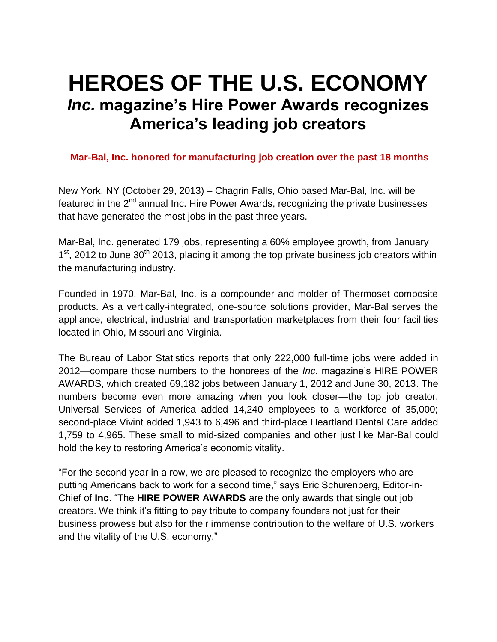# **HEROES OF THE U.S. ECONOMY** *Inc.* **magazine's Hire Power Awards recognizes America's leading job creators**

# **Mar-Bal, Inc. honored for manufacturing job creation over the past 18 months**

New York, NY (October 29, 2013) – Chagrin Falls, Ohio based Mar-Bal, Inc. will be featured in the 2<sup>nd</sup> annual Inc. Hire Power Awards, recognizing the private businesses that have generated the most jobs in the past three years.

Mar-Bal, Inc. generated 179 jobs, representing a 60% employee growth, from January 1<sup>st</sup>, 2012 to June 30<sup>th</sup> 2013, placing it among the top private business job creators within the manufacturing industry.

Founded in 1970, Mar-Bal, Inc. is a compounder and molder of Thermoset composite products. As a vertically-integrated, one-source solutions provider, Mar-Bal serves the appliance, electrical, industrial and transportation marketplaces from their four facilities located in Ohio, Missouri and Virginia.

The Bureau of Labor Statistics reports that only 222,000 full-time jobs were added in 2012—compare those numbers to the honorees of the *Inc*. magazine's HIRE POWER AWARDS, which created 69,182 jobs between January 1, 2012 and June 30, 2013. The numbers become even more amazing when you look closer—the top job creator, Universal Services of America added 14,240 employees to a workforce of 35,000; second-place Vivint added 1,943 to 6,496 and third-place Heartland Dental Care added 1,759 to 4,965. These small to mid-sized companies and other just like Mar-Bal could hold the key to restoring America's economic vitality.

"For the second year in a row, we are pleased to recognize the employers who are putting Americans back to work for a second time," says Eric Schurenberg, Editor-in-Chief of **Inc**. "The **HIRE POWER AWARDS** are the only awards that single out job creators. We think it's fitting to pay tribute to company founders not just for their business prowess but also for their immense contribution to the welfare of U.S. workers and the vitality of the U.S. economy."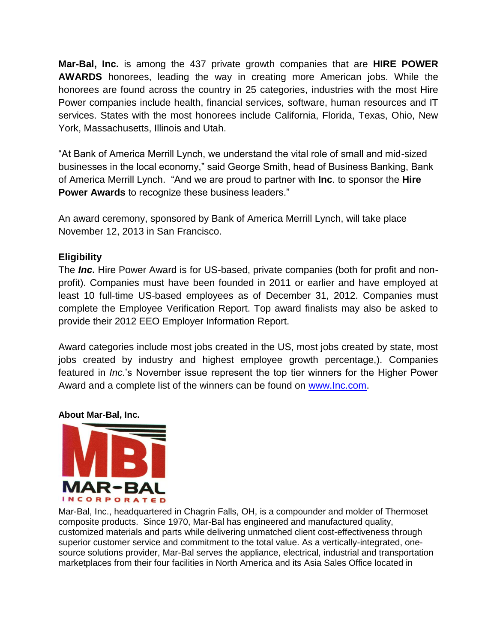**Mar-Bal, Inc.** is among the 437 private growth companies that are **HIRE POWER AWARDS** honorees, leading the way in creating more American jobs. While the honorees are found across the country in 25 categories, industries with the most Hire Power companies include health, financial services, software, human resources and IT services. States with the most honorees include California, Florida, Texas, Ohio, New York, Massachusetts, Illinois and Utah.

"At Bank of America Merrill Lynch, we understand the vital role of small and mid-sized businesses in the local economy," said George Smith, head of Business Banking, Bank of America Merrill Lynch. "And we are proud to partner with **Inc**. to sponsor the **Hire Power Awards** to recognize these business leaders."

An award ceremony, sponsored by Bank of America Merrill Lynch, will take place November 12, 2013 in San Francisco.

## **Eligibility**

The *Inc***.** Hire Power Award is for US-based, private companies (both for profit and nonprofit). Companies must have been founded in 2011 or earlier and have employed at least 10 full-time US-based employees as of December 31, 2012. Companies must complete the Employee Verification Report. Top award finalists may also be asked to provide their 2012 EEO Employer Information Report.

Award categories include most jobs created in the US, most jobs created by state, most jobs created by industry and highest employee growth percentage,). Companies featured in *Inc*.'s November issue represent the top tier winners for the Higher Power Award and a complete list of the winners can be found on [www.Inc.com.](http://www.inc.com/)

## **About Mar-Bal, Inc.**



Mar-Bal, Inc., headquartered in Chagrin Falls, OH, is a compounder and molder of Thermoset composite products. Since 1970, Mar-Bal has engineered and manufactured quality, customized materials and parts while delivering unmatched client cost-effectiveness through superior customer service and commitment to the total value. As a vertically-integrated, onesource solutions provider, Mar-Bal serves the appliance, electrical, industrial and transportation marketplaces from their four facilities in North America and its Asia Sales Office located in